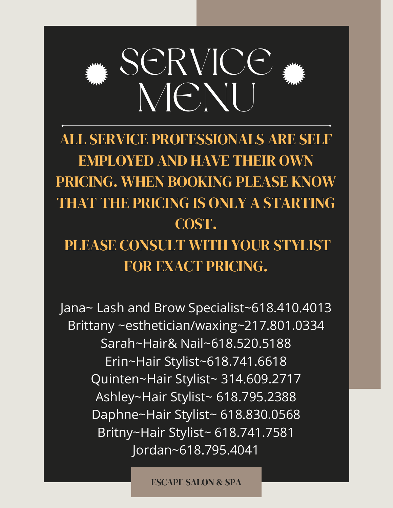

ALL SERVICE PROFESSIONALS ARE SELF EMPLOYED AND HAVE THEIR OWN PRICING. WHEN BOOKING PLEASE KNOW THAT THE PRICING IS ONLY A STARTING COST. PLEASE CONSULT WITH YOUR STYLIST FOR EXACT PRICING.

Jana~ Lash and Brow Specialist~618.410.4013 Brittany ~esthetician/waxing~217.801.0334 Sarah~Hair& Nail~618.520.5188 Erin~Hair Stylist~618.741.6618 Quinten~Hair Stylist~ 314.609.2717 Ashley~Hair Stylist~ 618.795.2388 Daphne~Hair Stylist~ 618.830.0568 Britny~Hair Stylist~ 618.741.7581 Jordan~618.795.4041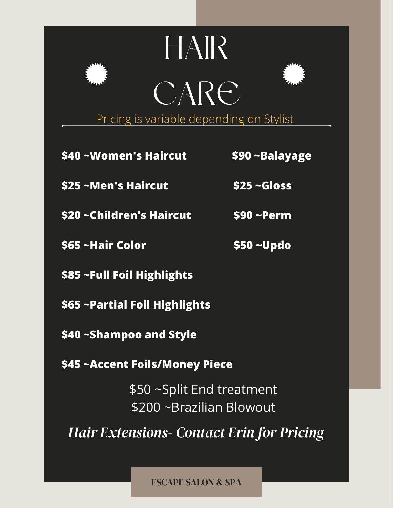## HAIR CARE



Pricing is variable depending on Stylist

- **\$40 ~Women's Haircut \$90 ~Balayage**
- **\$25 ~Men's Haircut \$25 ~Gloss**
- **\$20 ~Children's Haircut \$90 ~Perm**
- **\$65 ~Hair Color \$50 ~Updo**

- **\$85 ~Full Foil Highlights**
- **\$65 ~Partial Foil Highlights**
- **\$40 ~Shampoo and Style**
- **\$45 ~Accent Foils/Money Piece**

\$50 ~Split End treatment \$200 ~Brazilian Blowout

*Hair Extensions- Contact Erin for Pricing*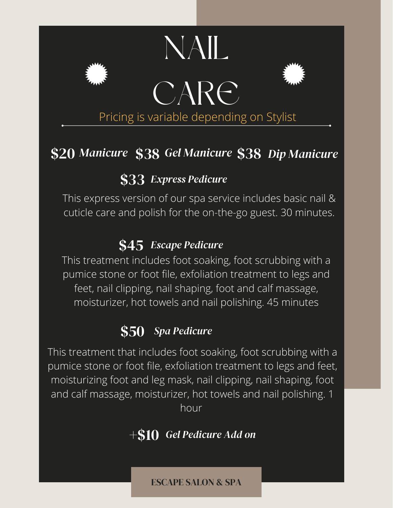

### \$20 \$38 \$38 *Manicure Dip Manicure Gel Manicure*

#### \$33 *Express Pedicure*

This express version of our spa service includes basic nail & cuticle care and polish for the on-the-go guest. 30 minutes.

#### \$45 *Escape Pedicure*

This treatment includes foot soaking, foot scrubbing with a pumice stone or foot file, exfoliation treatment to legs and feet, nail clipping, nail shaping, foot and calf massage, moisturizer, hot towels and nail polishing. 45 minutes

#### \$50 *Spa Pedicure*

This treatment that includes foot soaking, foot scrubbing with a pumice stone or foot file, exfoliation treatment to legs and feet, moisturizing foot and leg mask, nail clipping, nail shaping, foot and calf massage, moisturizer, hot towels and nail polishing. 1 hour

#### +\$10 *Gel Pedicure Add on*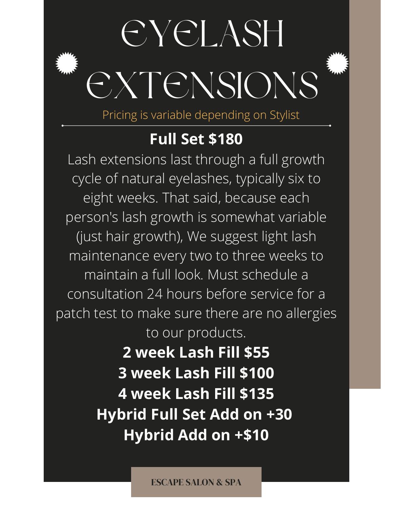# EYELASH EXTENSIONS

Pricing is variable depending on Stylist

#### **Full Set \$180**

Lash extensions last through a full growth cycle of natural eyelashes, typically six to eight weeks. That said, because each person's lash growth is somewhat variable (just hair growth), We suggest light lash maintenance every two to three weeks to maintain a full look. Must schedule a consultation 24 hours before service for a patch test to make sure there are no allergies to our products. **2 week Lash Fill \$55**

**3 week Lash Fill \$100 4 week Lash Fill \$135 Hybrid Full Set Add on +30 Hybrid Add on +\$10**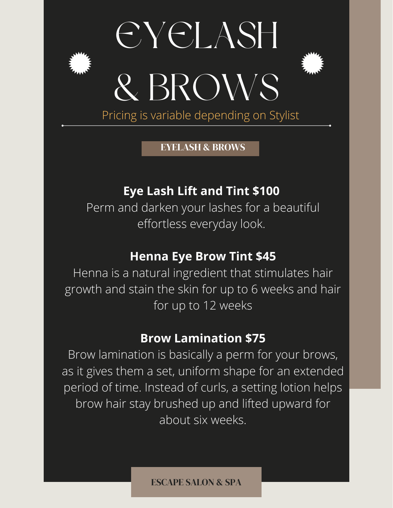



EYELASH & BROWS

#### **Eye Lash Lift and Tint \$100**

Perm and darken your lashes for a beautiful effortless everyday look.

#### **Henna Eye Brow Tint \$45**

Henna is a natural ingredient that stimulates hair growth and stain the skin for up to 6 weeks and hair for up to 12 weeks

#### **Brow Lamination \$75**

Brow lamination is basically a perm for your brows, as it gives them a set, uniform shape for an extended period of time. Instead of curls, a setting lotion helps brow hair stay brushed up and lifted upward for about six weeks.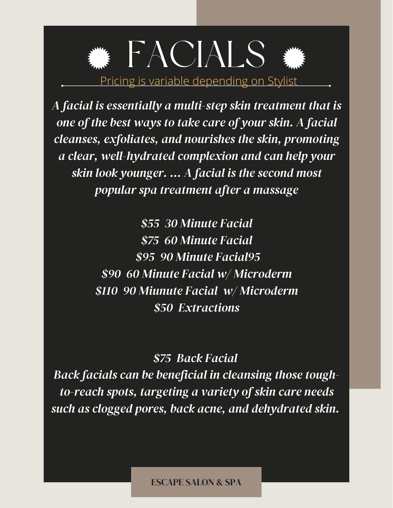### FACIALS Pricing is variable depending on Stylist

*A facial is essentially a multi-step skin treatment that is one of the best ways to take care of your skin. A facial cleanses, exfoliates, and nourishes the skin, promoting a clear, well-hydrated complexion and can help your skin look younger. ... A facial is the second most popular spa treatment after a massage*

> *\$55 30 Minute Facial \$75 60 Minute Facial \$95 90 Minute Facial95 \$90 60 Minute Facial w/ Microderm \$110 90 Miunute Facial w/ Microderm \$50 Extractions*

#### *\$75 Back Facial*

*Back facials can be beneficial in cleansing those toughto-reach spots, targeting a variety of skin care needs such as clogged pores, back acne, and dehydrated skin.*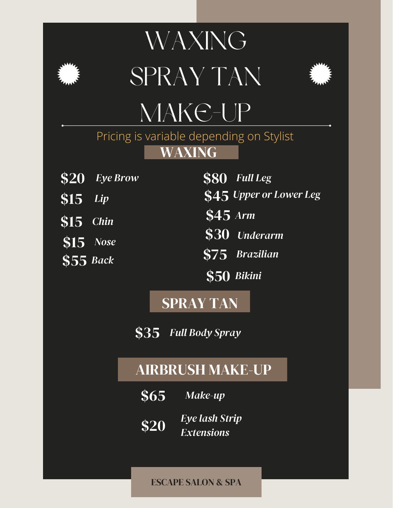

### WAXING SPRAY TAN



### MAKE-UP

WAXING Pricing is variable depending on Stylist

- **\$20** *Eye Brow*
- \$15 *Lip*
- \$15 *Chin*
- \$15 *Nose*
- \$55 *Back*
- \$80 *Full Leg*
- \$45 *Upper or Lower Leg*
- \$45 *Arm*
- \$30 *Underarm*
- \$75 *Brazilian*
- \$50 *Bikini*

#### SPRAY TAN

\$35 *Full Body Spray*

#### AIRBRUSH MAKE-UP

- \$65 *Make-up*
- \$20 *Eye lash Strip Extensions*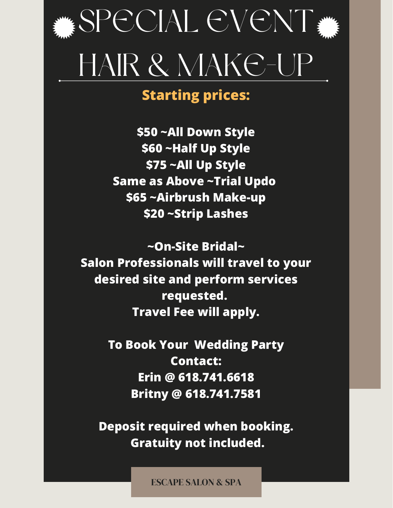

#### **Starting prices:**

**\$50 ~All Down Style \$60 ~Half Up Style \$75 ~All Up Style Same as Above ~Trial Updo \$65 ~Airbrush Make-up \$20 ~Strip Lashes**

**~On-Site Bridal~ Salon Professionals will travel to your desired site and perform services requested. Travel Fee will apply.**

> **To Book Your Wedding Party Contact: Erin @ 618.741.6618 Britny @ 618.741.7581**

**Deposit required when booking. Gratuity not included.**